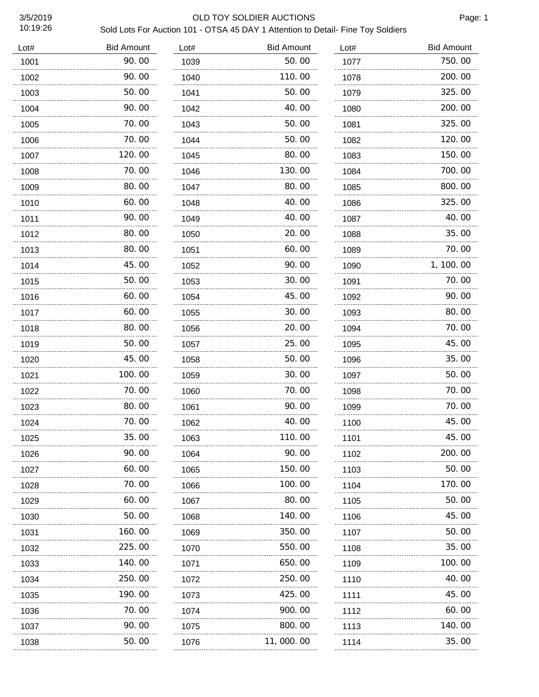#### 3/5/2019 OLD TOY SOLDIER AUCTIONS

| Lot# | <b>Bid Amount</b> | Lot# | <b>Bid Amount</b> | Lot# | <b>Bid Amount</b> |
|------|-------------------|------|-------------------|------|-------------------|
| 1001 | 90.00             | 1039 | 50.00             | 1077 | 750.00            |
| 1002 | 90.00             | 1040 | 110.00            | 1078 | 200.00            |
| 1003 | 50.00             | 1041 | 50.00             | 1079 | 325.00            |
| 1004 | 90.00             | 1042 | 40.00             | 1080 | 200.00            |
| 1005 | 70. 00            | 1043 | 50.00             | 1081 | 325.00            |
| 1006 | 70.00             | 1044 | 50.00             | 1082 | 120.00            |
| 1007 | 120.00            | 1045 | 80.00             | 1083 | 150.00            |
| 1008 | 70.00             | 1046 | 130.00            | 1084 | 700.00            |
| 1009 | 80.00             | 1047 | 80.00             | 1085 | 800.00            |
| 1010 | 60.00             | 1048 | 40.00             | 1086 | 325.00            |
| 1011 | 90.00             | 1049 | 40.00             | 1087 | 40.00             |
| 1012 | 80.00<br>.        | 1050 | 20.00<br>.        | 1088 | 35.00             |
| 1013 | 80.00             | 1051 | 60.00             | 1089 | 70.00             |
| 1014 | 45.00             | 1052 | 90.00             | 1090 | 1, 100. 00        |
| 1015 | 50.00             | 1053 | 30.00             | 1091 | 70.00             |
| 1016 | 60.00             | 1054 | 45.00             | 1092 | 90.00             |
| 1017 | 60.00             | 1055 | 30.00             | 1093 | 80.00             |
| 1018 | 80.00<br>.        | 1056 | 20.00<br>.        | 1094 | 70.00             |
| 1019 | 50.00             | 1057 | 25, 00            | 1095 | 45.00             |
| 1020 | 45.00             | 1058 | 50.00             | 1096 | 35.00             |
| 1021 | 100.00            | 1059 | 30.00             | 1097 | 50.00             |
| 1022 | 70.00             | 1060 | 70. 00            | 1098 | 70.00             |
| 1023 | 80.00             | 1061 | 90.00             | 1099 | 70.00             |
| 1024 | 70.00             | 1062 | 40.00             | 1100 | 45.00             |
| 1025 | 35.00             | 1063 | 110.00            | 1101 | 45.00             |
| 1026 | 90.00             | 1064 | 90.00             | 1102 | 200.00            |
| 1027 | 60.00             | 1065 | 150.00            | 1103 | 50. 00            |
| 1028 | 70.00             | 1066 | 100.00            | 1104 | 170.00            |
| 1029 | 60.00             | 1067 | 80.00             | 1105 | 50. 00            |
| 1030 | 50.00             | 1068 | 140.00            | 1106 | 45.00             |
| 1031 | 160.00            | 1069 | 350.00            | 1107 | 50.00             |
| 1032 | 225.00            | 1070 | 550.00            | 1108 | 35.00             |
| 1033 | 140.00            | 1071 | 650.00            | 1109 | 100. 00           |
| 1034 | 250.00            | 1072 | 250.00            | 1110 | 40.00             |
| 1035 | 190.00            | 1073 | 425.00            | 1111 | 45. 00            |
| 1036 | 70.00             | 1074 | 900.00            | 1112 | 60.00             |
| 1037 | 90.00             | 1075 | 800.00            | 1113 | 140.00            |
| 1038 | 50.00             | 1076 | 11,000.00         | 1114 | 35.00             |
|      |                   |      |                   |      |                   |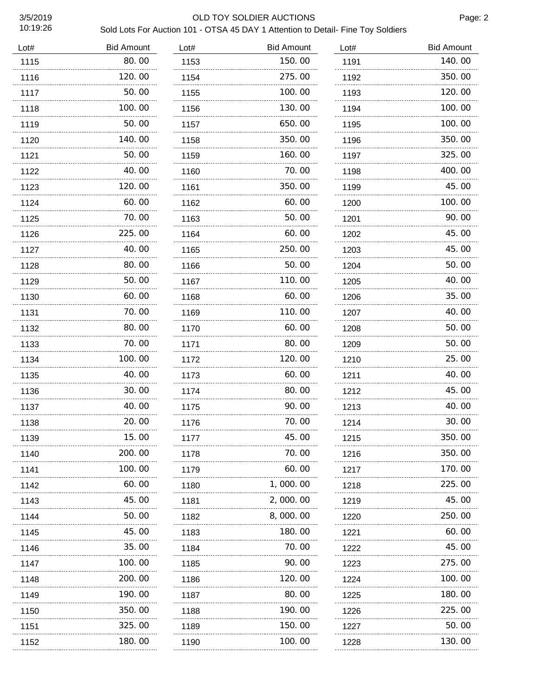#### 3/5/2019 OLD TOY SOLDIER AUCTIONS

| Lot# | <b>Bid Amount</b> | Lot# | <b>Bid Amount</b> | Lot#      | <b>Bid Amount</b> |
|------|-------------------|------|-------------------|-----------|-------------------|
| 1115 | 80.00             | 1153 | 150.00            | 1191      | 140.00            |
| 1116 | 120.00            | 1154 | 275.00            | 1192      | 350.00            |
| 1117 | 50.00             | 1155 | 100.00            | 1193      | 120, 00<br>.      |
| 1118 | 100. 00           | 1156 | 130.00            | 1194      | 100.00            |
| 1119 | 50. 00            | 1157 | 650.00            | 1195<br>. | 100.00            |
| 1120 | 140. 00           | 1158 | 350.00            | 1196      | 350.00            |
| 1121 | 50.00             | 1159 | 160.00            | 1197<br>. | 325.00            |
| 1122 | 40.00             | 1160 | 70.00             | 1198      | 400.00            |
| 1123 | 120.00            | 1161 | 350.00            | 1199      | 45.00             |
| 1124 | 60.00             | 1162 | 60.00             | 1200      | 100.00            |
| 1125 | 70. 00            | 1163 | 50.00             | 1201      | 90.00             |
| 1126 | 225.00            | 1164 | 60.00             | 1202      | 45.00             |
| 1127 | 40.00             | 1165 | 250.00            | 1203      | 45.00             |
| 1128 | 80.00             | 1166 | 50.00             | 1204      | 50.00             |
| 1129 | 50.00             | 1167 | 110.00            | 1205      | 40.00             |
| 1130 | 60.00<br>.        | 1168 | 60.00             | 1206      | 35.00             |
| 1131 | 70.00             | 1169 | 110.00            | 1207      | 40.00             |
| 1132 | 80.00<br>.        | 1170 | 60.00<br>.        | 1208      | 50.00             |
| 1133 | 70.00             | 1171 | 80.00             | 1209      | 50.00             |
| 1134 | 100.00<br>.       | 1172 | 120.00            | 1210      | 25.00             |
| 1135 | 40.00             | 1173 | 60. 00            | 1211      | 40.00             |
| 1136 | 30.00<br>.        | 1174 | 80.00<br>.        | 1212      | 45.00             |
| 1137 | 40.00<br>$\sim$   | 1175 | 90. 00            | 1213      | 40.00             |
| 1138 | 20.00<br>.        | 1176 | 70.00<br>.        | 1214      | 30.00             |
| 1139 | 15.00             | 1177 | 45.00             | 1215      | 350.00            |
| 1140 | 200.00            | 1178 | 70.00             | 1216      | 350.00            |
| 1141 | 100. 00           | 1179 | 60.00             | 1217      | 170.00            |
| 1142 | 60.00             | 1180 | 1,000.00          | 1218      | 225.00            |
| 1143 | 45.00             | 1181 | 2,000.00          | 1219      | 45.00             |
| 1144 | 50.00             | 1182 | 8,000.00          | 1220      | 250.00            |
| 1145 | 45.00             | 1183 | 180.00            | 1221      | 60.00             |
| 1146 | 35.00             | 1184 | 70.00             | 1222      | 45.00             |
| 1147 | 100.00            | 1185 | 90. OO            | 1223      | 275.00            |
| 1148 | 200.00            | 1186 | 120.00            | 1224      | 100.00            |
| 1149 | 190.00            | 1187 | 80.00             | 1225      | 180.00            |
| 1150 | 350.00            | 1188 | 190.00            | 1226      | 225.00            |
| 1151 | 325.00            | 1189 | 150.00            | 1227<br>. | 50.00             |
| 1152 | 180.00            | 1190 | 100.00            | 1228      | 130.00            |
|      |                   |      |                   |           |                   |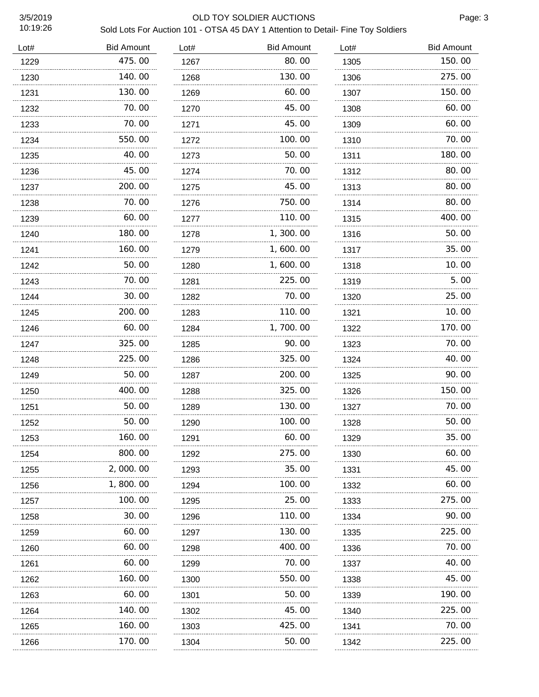#### 3/5/2019 OLD TOY SOLDIER AUCTIONS

| Lot# | <b>Bid Amount</b> | Lot# | <b>Bid Amount</b> | Lot# | <b>Bid Amount</b> |
|------|-------------------|------|-------------------|------|-------------------|
| 1229 | 475.00            | 1267 | 80.00             | 1305 | 150.00            |
| 1230 | 140.00            | 1268 | 130.00            | 1306 | 275.00            |
| 1231 | 130.00            | 1269 | 60.00             | 1307 | 150.00            |
| 1232 | 70.00             | 1270 | 45.00             | 1308 | 60.00             |
| 1233 | 70.00             | 1271 | 45.00             | 1309 | 60.00             |
| 1234 | 550.00            | 1272 | 100.00            | 1310 | 70.00             |
| 1235 | 40.00             | 1273 | 50.00             | 1311 | 180.00            |
| 1236 | 45.00             | 1274 | 70.00             | 1312 | 80.00             |
| 1237 | 200.00            | 1275 | 45.00             | 1313 | 80.00             |
| 1238 | 70.00             | 1276 | 750.00            | 1314 | 80.00             |
| 1239 | 60.00             | 1277 | 110.00            | 1315 | 400.00            |
| 1240 | 180.00            | 1278 | 1, 300. 00        | 1316 | 50.00             |
| 1241 | 160.00            | 1279 | 1,600.00          | 1317 | 35.00             |
| 1242 | 50.00             | 1280 | 1,600.00          | 1318 | 10.00             |
| 1243 | 70.00             | 1281 | 225.00            | 1319 | 5.00              |
| 1244 | 30.00             | 1282 | 70.00             | 1320 | 25.00             |
| 1245 | 200.00            | 1283 | 110.00            | 1321 | 10.00             |
| 1246 | 60.00<br>.        | 1284 | 1,700.00          | 1322 | 170.00            |
| 1247 | 325.00            | 1285 | 90.00             | 1323 | 70.00             |
| 1248 | 225,00<br>.       | 1286 | 325.00            | 1324 | 40.00             |
| 1249 | 50.00             | 1287 | 200.00            | 1325 | 90.00             |
| 1250 | 400.00            | 1288 | 325.00            | 1326 | 150.00            |
| 1251 | 50.00             | 1289 | 130.00            | 1327 | 70.00             |
| 1252 | 50.00<br>.        | 1290 | 100.00            | 1328 | 50.00             |
| 1253 | 160.00            | 1291 | 60.00             | 1329 | 35.00             |
| 1254 | 800.00            | 1292 | 275.00            | 1330 | 60.00             |
| 1255 | 2,000.00          | 1293 | 35.00             | 1331 | 45.00             |
| 1256 | 1,800.00          | 1294 | 100.00            | 1332 | 60.00             |
| 1257 | 100.00            | 1295 | 25.00             | 1333 | 275.00            |
| 1258 | 30.00             | 1296 | 110. 00           | 1334 | 90.00             |
| 1259 | 60.00             | 1297 | 130. 00           | 1335 | 225.00            |
| 1260 | 60.00             | 1298 | 400.00            | 1336 | 70.00             |
| 1261 | 60.00             | 1299 | 70.00             | 1337 | 40.00             |
| 1262 | 160. 00           | 1300 | 550.00            | 1338 | 45.00             |
| 1263 | 60.00             | 1301 | 50.00             | 1339 | 190.00            |
| 1264 | 140.00            | 1302 | 45.00             | 1340 | 225.00            |
| 1265 | 160.00            | 1303 | 425.00            | 1341 | 70.00             |
| 1266 | 170.00            | 1304 | 50.00             | 1342 | 225.00            |
|      |                   |      |                   |      |                   |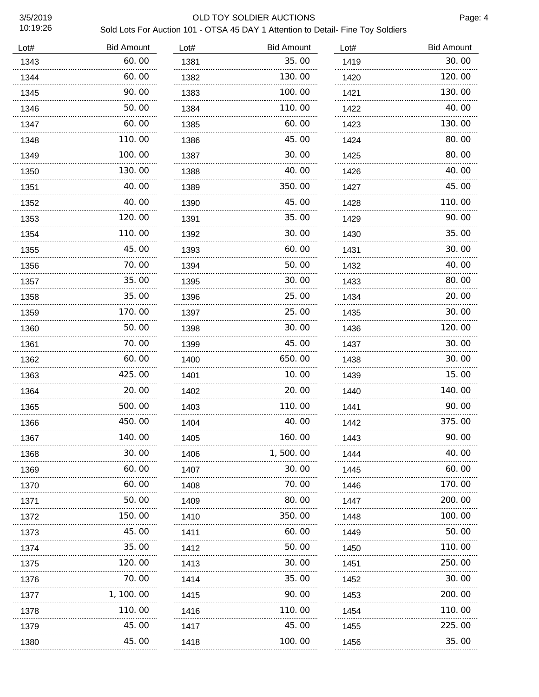#### 3/5/2019 OLD TOY SOLDIER AUCTIONS

| Lot# | <b>Bid Amount</b> | Lot# | <b>Bid Amount</b> | Lot# | <b>Bid Amount</b> |
|------|-------------------|------|-------------------|------|-------------------|
| 1343 | 60.00             | 1381 | 35.00             | 1419 | 30.00             |
| 1344 | 60.00             | 1382 | 130.00            | 1420 | 120.00            |
| 1345 | 90. 00            | 1383 | 100, 00           | 1421 | 130.00            |
| 1346 | 50.00             | 1384 | 110.00            | 1422 | 40.00             |
| 1347 | 60. 00            | 1385 | 60.00             | 1423 | 130.00            |
| 1348 | 110.00            | 1386 | 45.00             | 1424 | 80.00             |
| 1349 | 100.00            | 1387 | 30.00             | 1425 | 80.00             |
| 1350 | 130.00            | 1388 | 40.00             | 1426 | 40.00             |
| 1351 | 40.00             | 1389 | 350.00            | 1427 | 45.00             |
| 1352 | 40.00             | 1390 | 45.00             | 1428 | 110.00            |
| 1353 | 120.00            | 1391 | 35.00             | 1429 | 90.00             |
| 1354 | 110.00<br>.       | 1392 | 30.00<br>.        | 1430 | 35.00             |
| 1355 | 45.00             | 1393 | 60.00             | 1431 | 30.00             |
| 1356 | 70.00             | 1394 | 50.00             | 1432 | 40.00             |
| 1357 | 35.00             | 1395 | 30.00             | 1433 | 80.00             |
| 1358 | 35.00             | 1396 | 25.00             | 1434 | 20.00             |
| 1359 | 170.00            | 1397 | 25.00             | 1435 | 30.00             |
| 1360 | 50.00<br>.        | 1398 | 30.00             | 1436 | 120.00            |
| 1361 | 70. 00            | 1399 | 45.00             | 1437 | 30.00             |
| 1362 | 60.00             | 1400 | 650.00            | 1438 | 30.00             |
| 1363 | 425.00            | 1401 | 10.00             | 1439 | 15.00             |
| 1364 | 20.00             | 1402 | 20.00             | 1440 | 140.00            |
| 1365 | 500.00            | 1403 | 110.00            | 1441 | 90.00             |
| 1366 | 450.00            | 1404 | 40.00             | 1442 | 375.00            |
| 1367 | 140.00            | 1405 | 160.00            | 1443 | 90.00             |
| 1368 | 30.00             | 1406 | 1,500.00          | 1444 | 40.00             |
| 1369 | 60.00             | 1407 | 30.00             | 1445 | 60.00             |
| 1370 | 60.00             | 1408 | 70.00             | 1446 | 170.00            |
| 1371 | 50.00             | 1409 | 80.00             | 1447 | 200.00            |
| 1372 | 150.00            | 1410 | 350.00            | 1448 | 100.00            |
| 1373 | 45.00             | 1411 | 60.00             | 1449 | 50.00             |
| 1374 | 35.00             | 1412 | 50.00             | 1450 | 110.00            |
| 1375 | 120.00            | 1413 | 30.00             | 1451 | 250. 00           |
| 1376 | 70.00             | 1414 | 35.00             | 1452 | 30.00             |
| 1377 | 1, 100. 00        | 1415 | 90.00             | 1453 | 200. 00           |
| 1378 | 110.00            | 1416 | 110.00            | 1454 | 110.00            |
| 1379 | 45.00             | 1417 | 45.00             | 1455 | 225.00            |
| 1380 | 45.00             | 1418 | 100.00            | 1456 | 35.00             |
|      |                   |      |                   |      |                   |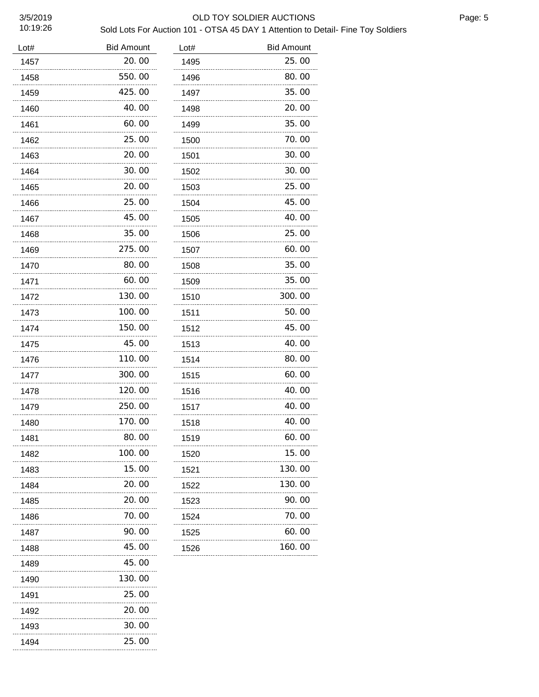#### 3/5/2019 OLD TOY SOLDIER AUCTIONS

#### Sold Lots For Auction 101 - OTSA 45 DAY 1 Attention to Detail- Fine Toy Soldiers

| Lot# | <b>Bid Amount</b> | Lot# | <b>Bid Amount</b> |
|------|-------------------|------|-------------------|
| 1457 | 20.00             | 1495 | 25.00             |
| 1458 | 550.00            | 1496 | 80.00             |
| 1459 | 425.00            | 1497 | 35.00             |
| 1460 | 40.00             | 1498 | 20.00             |
| 1461 | 60.00             | 1499 | 35.00             |
| 1462 | 25.00             | 1500 | 70.00             |
| 1463 | 20.00             | 1501 | 30.00             |
| 1464 | 30.00             | 1502 | 30.00             |
| 1465 | 20.00             | 1503 | 25.00             |
| 1466 | 25.00             | 1504 | 45.00             |
| 1467 | 45.00             | 1505 | 40.00             |
| 1468 | 35.00             | 1506 | 25.00             |
| 1469 | 275.00            | 1507 | 60.00             |
| 1470 | 80.00             | 1508 | 35.00             |
| 1471 | 60.00             | 1509 | 35.00             |
| 1472 | 130.00            | 1510 | 300.00            |
| 1473 | 100.00            | 1511 | 50.00             |
| 1474 | 150.00            | 1512 | 45.00             |
| 1475 | 45.00             | 1513 | 40.00             |
| 1476 | 110.00            | 1514 | 80.00             |
| 1477 | 300.00            | 1515 | 60.00             |
| 1478 | 120.00            | 1516 | 40.00             |
| 1479 | 250.00            | 1517 | 40.00             |
| 1480 | 170.00            | 1518 | 40.00             |
| 1481 | 80.00             | 1519 | 60.00             |
| 1482 | 100.00            | 1520 | 15.00             |
| 1483 | 15.00             | 1521 | 130.00            |
| 1484 | 20.00             | 1522 | 130.00            |
| 1485 | 20.00             | 1523 | 90.00             |
| 1486 | 70.00             | 1524 | 70.00             |
| 1487 | 90.00             | 1525 | 60.00             |
| 1488 | 45.00             | 1526 | 160.00            |
| 1489 | 45.00             |      |                   |
| 1490 | 130.00            |      |                   |
| 1491 | 25.00             |      |                   |
| 1492 | 20.00             |      |                   |
| 1493 | 30.00             |      |                   |
| 1494 | 25.00             |      |                   |

Page: 5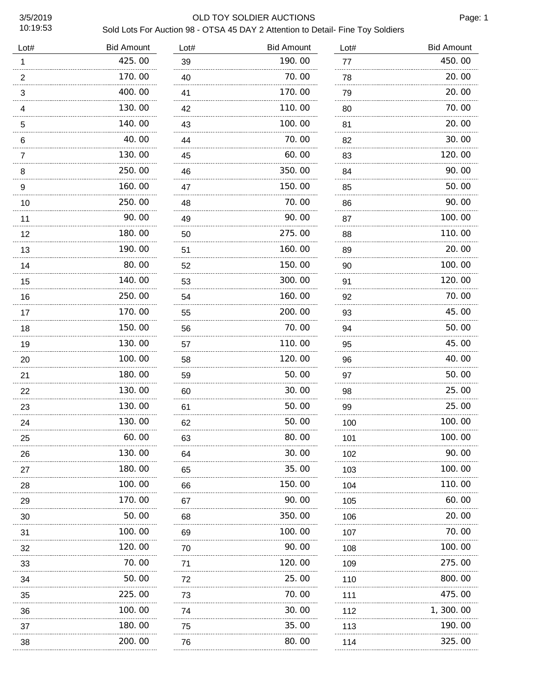#### 3/5/2019 OLD TOY SOLDIER AUCTIONS

Page: 1

| Lot#           | <b>Bid Amount</b> | Lot#    | <b>Bid Amount</b> | Lot#    | <b>Bid Amount</b> |
|----------------|-------------------|---------|-------------------|---------|-------------------|
| 1              | 425.00            | 39      | 190.00            | 77      | 450.00            |
| $\overline{2}$ | 170.00            | 40      | 70.00             | 78      | 20.00             |
| 3              | 400.00            | 41      | 170.00            | 79<br>. | 20.00             |
| 4              | 130.00            | 42      | 110.00            | 80      | 70.00             |
| 5<br>.         | 140.00            | 43<br>. | 100.00            | 81<br>. | 20.00             |
| 6              | 40.00             | 44      | 70.00             | 82      | 30.00             |
| 7<br>.         | 130.00            | 45      | 60.00             | 83      | 120.00            |
| 8              | 250.00            | 46      | 350.00            | 84      | 90.00             |
| 9              | 160.00            | 47      | 150.00            | 85      | 50.00             |
| 10             | 250.00            | 48      | 70.00             | 86      | 90.00             |
| 11             | 90.00             | 49      | 90.00             | 87      | 100.00            |
| 12             | 180.00            | 50      | 275.00            | 88      | 110.00            |
| 13             | 190.00            | 51      | 160.00            | 89<br>. | 20.00             |
| 14             | 80.00             | 52      | 150.00            | 90      | 100.00            |
| 15             | 140.00            | 53      | 300.00            | 91      | 120.00            |
| 16             | 250.00            | 54      | 160.00            | 92      | 70.00             |
| 17             | 170.00            | 55      | 200.00            | 93      | 45.00             |
| 18             | 150.00            | 56      | 70.00             | 94      | 50.00             |
| 19             | 130.00            | 57      | 110.00            | 95      | 45.00             |
| 20             | 100.00            | 58      | 120.00            | 96      | 40.00             |
| 21             | 180.00            | 59      | 50.00             | 97      | 50.00             |
| 22             | 130.00            | 60      | 30.00             | 98      | 25.00             |
| 23             | 130.00            | 61      | 50.00             | 99      | 25.00             |
| 24             | 130.00            | 62      | 50.00             | 100     | 100.00            |
| 25             | 60.00<br>.        | 63      | 80.00<br>.        | 101     | 100.00            |
| 26             | 130.00<br>.       | 64      | 30.00             | 102     | 90.00             |
| 27             | 180.00<br>.       | 65      | 35.00             | 103     | 100. 00           |
| 28             | 100.00<br>.       | 66      | 150.00            | 104     | 110.00            |
| 29             | 170.00<br>.       | 67      | 90.00             | 105     | 60.00             |
| 30             | 50.00             | 68      | 350.00            | 106     | 20.00             |
| 31             | 100.00<br>.       | 69      | 100.00            | 107     | 70.00             |
| 32             | 120.00            | 70      | 90.00             | 108     | 100.00            |
| 33             | 70.00             | 71      | 120.00            | 109     | 275.00            |
| 34             | 50.00             | 72      | 25.00             | 110     | 800.00            |
| 35             | 225.00            | 73      | 70.00             | 111     | 475.00            |
| 36             | 100.00            | 74      | 30.00             | 112     | 1, 300. 00        |
| 37             | 180.00            | 75      | 35.00             | 113     | 190.00            |
| 38             | 200.00            | 76      | 80.00             | 114     | 325.00            |
|                |                   |         |                   |         |                   |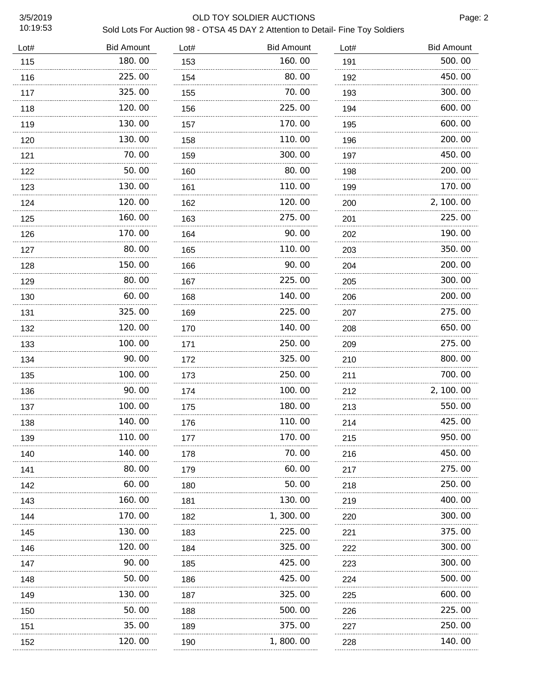#### 3/5/2019 OLD TOY SOLDIER AUCTIONS

| Lot# | <b>Bid Amount</b> | Lot#     | <b>Bid Amount</b> | Lot#     | <b>Bid Amount</b> |
|------|-------------------|----------|-------------------|----------|-------------------|
| 115  | 180.00            | 153      | 160.00            | 191      | 500.00            |
| 116  | 225.00            | 154      | 80.00             | 192      | 450.00            |
| 117  | 325.00            | 155      | 70.00             | 193      | 300.00            |
| 118  | 120.00            | 156      | 225.00            | 194      | 600.00            |
| 119  | 130.00            | 157      | 170.00            | 195      | 600.00            |
| 120  | 130.00<br>.       | 158      | 110.00            | 196      | 200.00            |
| 121  | 70.00             | 159      | 300.00            | 197      | 450.00            |
| 122  | 50.00             | 160      | 80.00             | 198      | 200.00            |
| 123  | 130.00            | 161      | 110.00            | 199      | 170.00            |
| 124  | 120.00            | 162      | 120.00            | 200      | 2, 100.00         |
| 125  | 160.00            | 163      | 275.00            | 201      | 225.00            |
| 126  | 170.00            | 164      | 90.00             | 202      | 190.00            |
| 127  | 80.00             | 165      | 110.00            | 203      | 350.00            |
| 128  | 150.00<br>.       | 166      | 90.00             | 204      | 200.00            |
| 129  | 80.00             | 167      | 225.00            | 205      | 300.00            |
| 130  | 60.00             | 168      | 140.00            | 206      | 200.00            |
| 131  | 325.00            | 169      | 225.00            | 207      | 275.00            |
| 132  | 120.00            | 170      | 140.00            | 208      | 650.00            |
| 133  | 100.00            | 171      | 250.00            | 209      | 275.00            |
| 134  | 90.00             | 172      | 325.00            | 210      | 800.00            |
| 135  | 100.00            | 173      | 250.00            | 211      | 700.00            |
| 136  | 90.00             | 174      | 100.00            | 212      | 2, 100.00         |
| 137  | 100.00            | 175      | 180.00            | 213      | 550.00            |
| 138  | 140.00            | 176      | 110.00            | 214      | 425.00            |
| 139  | 110.00            | 177      | 170.00            | 215      | 950.00            |
| 140  | 140.00            | 178      | 70.00             | 216      | 450.00            |
| 141  | 80.00             | 179<br>. | 60.00             | 217<br>. | 275.00<br>        |
| 142  | 60.00             | 180      | 50.00             | 218      | 250.00            |
| 143  | 160.00            | 181      | 130. 00           | 219      | 400.00            |
| 144  | 170.00            | 182      | 1, 300. 00        | 220      | 300.00            |
| 145  | 130.00            | 183      | 225.00            | 221      | 375.00            |
| 146  | 120.00            | 184      | 325.00            | 222      | 300.00            |
| 147  | 90.00             | 185      | 425.00            | 223      | 300.00            |
| 148  | 50.00<br>.        | 186      | 425.00            | 224      | 500.00            |
| 149  | 130.00            | 187      | 325.00            | 225      | 600.00            |
| 150  | 50.00<br>.        | 188      | 500.00            | 226      | 225.00            |
| 151  | 35.00             | 189      | 375.00            | 227      | 250.00            |
| 152  | 120.00            | 190      | 1,800.00          | 228      | 140.00            |
|      |                   |          |                   |          |                   |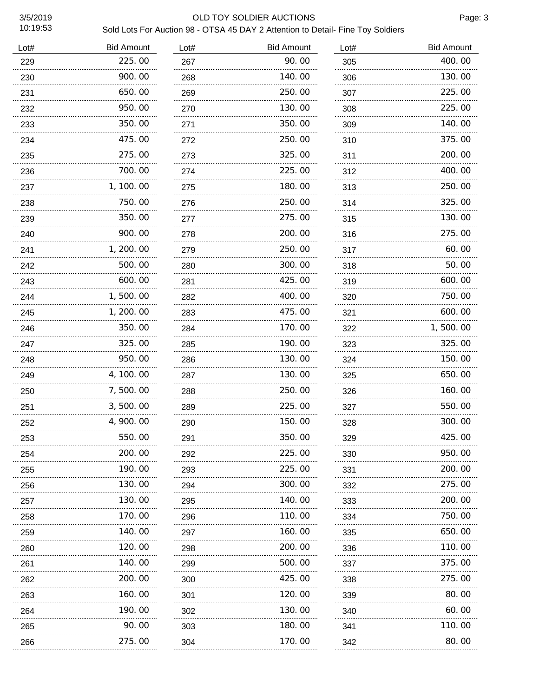#### 3/5/2019 OLD TOY SOLDIER AUCTIONS

| Lot# | <b>Bid Amount</b> | Lot#     | <b>Bid Amount</b> | Lot# | <b>Bid Amount</b> |
|------|-------------------|----------|-------------------|------|-------------------|
| 229  | 225.00            | 267      | 90.00             | 305  | 400.00            |
| 230  | 900.00            | 268      | 140.00            | 306  | 130.00            |
| 231  | 650.00            | 269      | 250.00            | 307  | 225.00<br>.       |
| 232  | 950.00            | 270      | 130.00            | 308  | 225.00            |
| 233  | 350.00            | 271<br>. | 350.00            | 309  | 140.00            |
| 234  | 475.00            | 272      | 250.00            | 310  | 375.00            |
| 235  | 275.00            | 273      | 325.00            | 311  | 200.00            |
| 236  | 700.00            | 274      | 225.00            | 312  | 400.00            |
| 237  | 1, 100. 00        | 275      | 180.00            | 313  | 250.00            |
| 238  | 750.00            | 276      | 250.00            | 314  | 325.00            |
| 239  | 350.00            | 277      | 275.00            | 315  | 130.00            |
| 240  | 900.00            | 278      | 200.00            | 316  | 275.00            |
| 241  | 1, 200. 00        | 279      | 250.00            | 317  | 60.00             |
| 242  | 500.00            | 280      | 300.00            | 318  | 50.00             |
| 243  | 600.00            | 281      | 425.00            | 319  | 600.00            |
| 244  | 1,500.00          | 282      | 400.00            | 320  | 750.00            |
| 245  | 1, 200. 00        | 283      | 475.00            | 321  | 600.00            |
| 246  | 350.00<br>.       | 284      | 170.00            | 322  | 1,500.00          |
| 247  | 325.00            | 285      | 190.00            | 323  | 325.00            |
| 248  | 950.00            | 286      | 130.00            | 324  | 150.00            |
| 249  | 4, 100.00         | 287      | 130.00            | 325  | 650.00            |
| 250  | 7,500.00          | 288      | 250.00            | 326  | 160.00            |
| 251  | 3,500.00          | 289      | 225.00            | 327  | 550.00            |
| 252  | 4, 900. 00        | 290      | 150.00            | 328  | 300.00            |
| 253  | 550.00            | 291      | 350.00            | 329  | 425.00            |
| 254  | 200.00            | 292      | 225.00            | 330  | 950.00            |
| 255  | 190.00            | 293      | 225.00            | 331  | 200.00            |
| 256  | 130.00            | 294      | 300.00            | 332  | 275.00            |
| 257  | 130.00            | 295      | 140.00            | 333  | 200.00            |
| 258  | 170.00            | 296      | 110.00            | 334  | 750.00            |
| 259  | 140.00            | 297      | 160.00            | 335  | 650.00            |
| 260  | 120.00            | 298      | 200.00            | 336  | 110.00            |
| 261  | 140.00            | 299      | 500.00            | 337  | 375.00            |
| 262  | 200.00            | 300      | 425.00            | 338  | 275.00            |
| 263  | 160.00            | 301      | 120.00            | 339  | 80.00             |
| 264  | 190.00            | 302      | 130.00            | 340  | 60.00             |
| 265  | 90. OO            | 303      | 180.00            | 341  | 110.00            |
| 266  | 275.00            | 304      | 170.00            | 342  | 80.00             |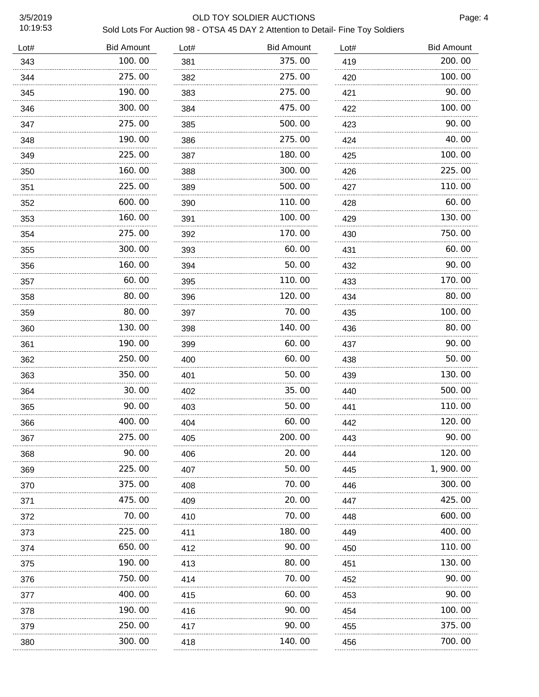#### 3/5/2019 OLD TOY SOLDIER AUCTIONS

Page: 4

| Lot# | <b>Bid Amount</b> | Lot# | <b>Bid Amount</b> | Lot# | <b>Bid Amount</b> |
|------|-------------------|------|-------------------|------|-------------------|
| 343  | 100.00            | 381  | 375.00            | 419  | 200.00            |
| 344  | 275.00            | 382  | 275.00            | 420  | 100.00            |
| 345  | 190.00            | 383  | 275.00            | 421  | 90.00             |
| 346  | 300.00            | 384  | 475.00            | 422  | 100.00            |
| 347  | 275.00            | 385  | 500.00            | 423  | 90.00             |
| 348  | 190.00            | 386  | 275.00            | 424  | 40.00             |
| 349  | 225.00            | 387  | 180.00            | 425  | 100.00            |
| 350  | 160.00            | 388  | 300.00            | 426  | 225.00            |
| 351  | 225.00            | 389  | 500.00            | 427  | 110.00            |
| 352  | 600.00            | 390  | 110.00            | 428  | 60.00             |
| 353  | 160.00            | 391  | 100.00            | 429  | 130.00            |
| 354  | 275.00            | 392  | 170.00            | 430  | 750.00            |
| 355  | 300.00            | 393  | 60.00             | 431  | 60.00             |
| 356  | 160.00            | 394  | 50.00             | 432  | 90.00             |
| 357  | 60.00             | 395  | 110.00            | 433  | 170.00            |
| 358  | 80.00             | 396  | 120.00            | 434  | 80.00             |
| 359  | 80.00             | 397  | 70.00             | 435  | 100.00            |
| 360  | 130.00            | 398  | 140. 00           | 436  | 80.00             |
| 361  | 190.00            | 399  | 60. 00            | 437  | 90.00             |
| 362  | 250.00            | 400  | 60.00             | 438  | 50.00             |
| 363  | 350.00            | 401  | 50.00             | 439  | 130.00            |
| 364  | 30.00             | 402  | 35.00             | 440  | 500.00            |
| 365  | 90.00             | 403  | 50.00             | 441  | 110.00            |
| 366  | 400.00            | 404  | 60.00             | 442  | 120.00            |
| 367  | 275.00<br>.       | 405  | 200.00            | 443  | 90.00             |
| 368  | 90.00             | 406  | 20. 00            | 444  | 120, 00           |
| 369  | 225.00<br>.       | 407  | 50. 00            | 445  | 1, 900. 00        |
| 370  | 375.00            | 408  | 70. 00            | 446  | 300.00            |
| 371  | 475.00<br>.       | 409  | 20.00             | 447  | 425.00            |
| 372  | 70.00<br>.        | 410  | 70.00             | 448  | 600, 00           |
| 373  | 225.00            | 411  | 180.00            | 449  | 400.00            |
| 374  | 650.00            | 412  | 90.00             | 450  | 110.00            |
| 375  | 190.00            | 413  | 80.00             | 451  | 130.00            |
| 376  | 750.00            | 414  | 70.00             | 452  | 90.00             |
| 377  | 400.00            | 415  | 60.00             | 453  | 90.00             |
| 378  | 190.00            | 416  | 90. OO            | 454  | 100.00            |
| 379  | 250.00            | 417  | 90.00             | 455  | 375.00            |
| 380  | 300.00            | 418  | 140.00            | 456  | 700.00            |